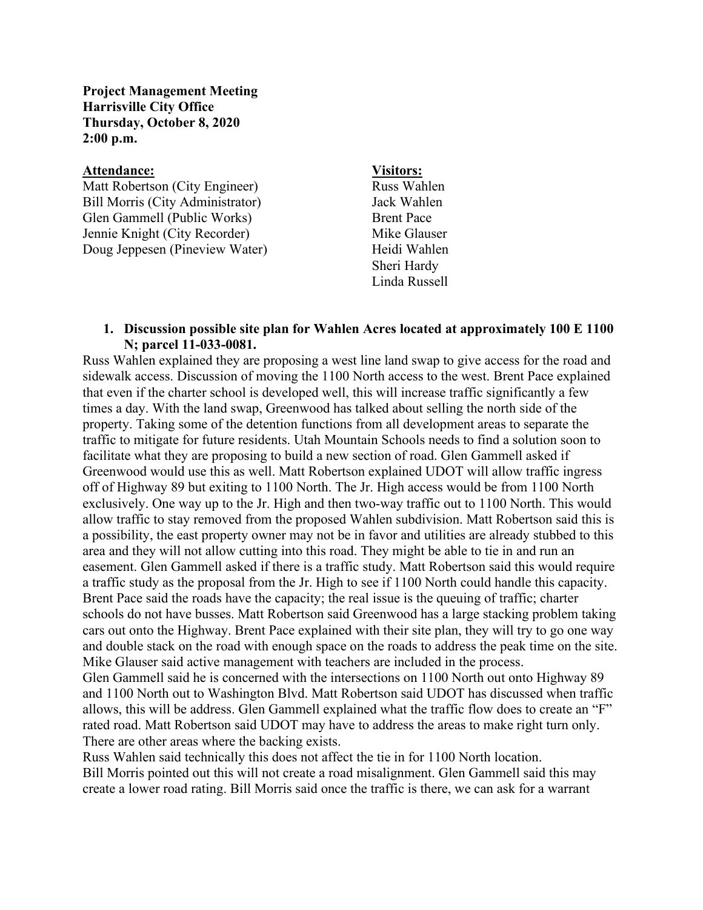**Project Management Meeting Harrisville City Office Thursday, October 8, 2020 2:00 p.m.**

## **Attendance: Visitors:**

Matt Robertson (City Engineer) Russ Wahlen Bill Morris (City Administrator) Jack Wahlen Glen Gammell (Public Works) Brent Pace Jennie Knight (City Recorder) Mike Glauser Doug Jeppesen (Pineview Water) Heidi Wahlen

Sheri Hardy Linda Russell

## **1. Discussion possible site plan for Wahlen Acres located at approximately 100 E 1100 N; parcel 11-033-0081.**

Russ Wahlen explained they are proposing a west line land swap to give access for the road and sidewalk access. Discussion of moving the 1100 North access to the west. Brent Pace explained that even if the charter school is developed well, this will increase traffic significantly a few times a day. With the land swap, Greenwood has talked about selling the north side of the property. Taking some of the detention functions from all development areas to separate the traffic to mitigate for future residents. Utah Mountain Schools needs to find a solution soon to facilitate what they are proposing to build a new section of road. Glen Gammell asked if Greenwood would use this as well. Matt Robertson explained UDOT will allow traffic ingress off of Highway 89 but exiting to 1100 North. The Jr. High access would be from 1100 North exclusively. One way up to the Jr. High and then two-way traffic out to 1100 North. This would allow traffic to stay removed from the proposed Wahlen subdivision. Matt Robertson said this is a possibility, the east property owner may not be in favor and utilities are already stubbed to this area and they will not allow cutting into this road. They might be able to tie in and run an easement. Glen Gammell asked if there is a traffic study. Matt Robertson said this would require a traffic study as the proposal from the Jr. High to see if 1100 North could handle this capacity. Brent Pace said the roads have the capacity; the real issue is the queuing of traffic; charter schools do not have busses. Matt Robertson said Greenwood has a large stacking problem taking cars out onto the Highway. Brent Pace explained with their site plan, they will try to go one way and double stack on the road with enough space on the roads to address the peak time on the site. Mike Glauser said active management with teachers are included in the process.

Glen Gammell said he is concerned with the intersections on 1100 North out onto Highway 89 and 1100 North out to Washington Blvd. Matt Robertson said UDOT has discussed when traffic allows, this will be address. Glen Gammell explained what the traffic flow does to create an "F" rated road. Matt Robertson said UDOT may have to address the areas to make right turn only. There are other areas where the backing exists.

Russ Wahlen said technically this does not affect the tie in for 1100 North location. Bill Morris pointed out this will not create a road misalignment. Glen Gammell said this may create a lower road rating. Bill Morris said once the traffic is there, we can ask for a warrant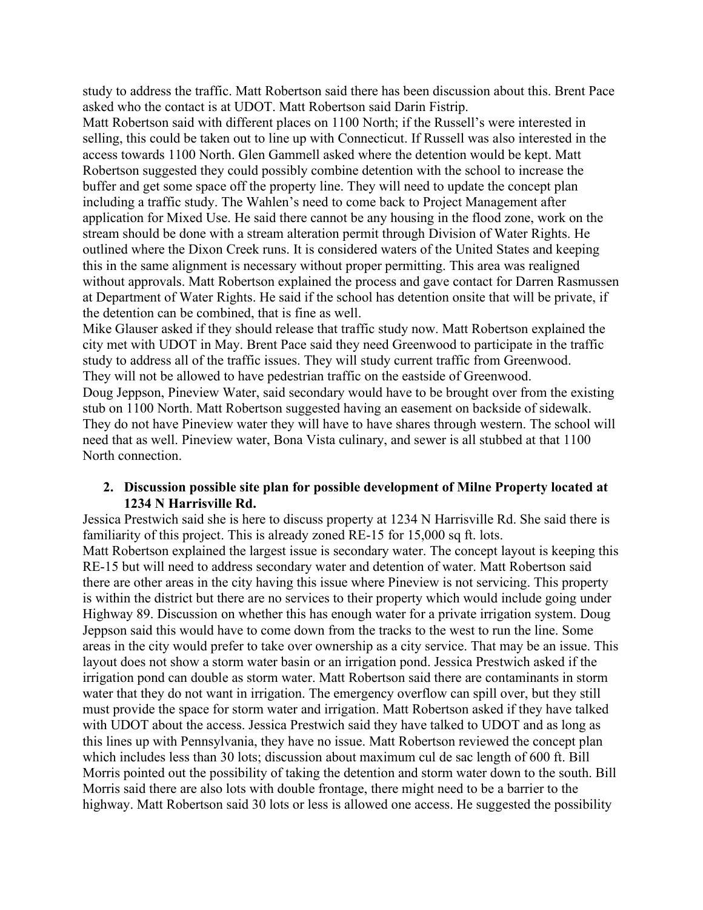study to address the traffic. Matt Robertson said there has been discussion about this. Brent Pace asked who the contact is at UDOT. Matt Robertson said Darin Fistrip.

Matt Robertson said with different places on 1100 North; if the Russell's were interested in selling, this could be taken out to line up with Connecticut. If Russell was also interested in the access towards 1100 North. Glen Gammell asked where the detention would be kept. Matt Robertson suggested they could possibly combine detention with the school to increase the buffer and get some space off the property line. They will need to update the concept plan including a traffic study. The Wahlen's need to come back to Project Management after application for Mixed Use. He said there cannot be any housing in the flood zone, work on the stream should be done with a stream alteration permit through Division of Water Rights. He outlined where the Dixon Creek runs. It is considered waters of the United States and keeping this in the same alignment is necessary without proper permitting. This area was realigned without approvals. Matt Robertson explained the process and gave contact for Darren Rasmussen at Department of Water Rights. He said if the school has detention onsite that will be private, if the detention can be combined, that is fine as well.

Mike Glauser asked if they should release that traffic study now. Matt Robertson explained the city met with UDOT in May. Brent Pace said they need Greenwood to participate in the traffic study to address all of the traffic issues. They will study current traffic from Greenwood. They will not be allowed to have pedestrian traffic on the eastside of Greenwood. Doug Jeppson, Pineview Water, said secondary would have to be brought over from the existing stub on 1100 North. Matt Robertson suggested having an easement on backside of sidewalk. They do not have Pineview water they will have to have shares through western. The school will need that as well. Pineview water, Bona Vista culinary, and sewer is all stubbed at that 1100 North connection.

## **2. Discussion possible site plan for possible development of Milne Property located at 1234 N Harrisville Rd.**

Jessica Prestwich said she is here to discuss property at 1234 N Harrisville Rd. She said there is familiarity of this project. This is already zoned RE-15 for 15,000 sq ft. lots. Matt Robertson explained the largest issue is secondary water. The concept layout is keeping this RE-15 but will need to address secondary water and detention of water. Matt Robertson said there are other areas in the city having this issue where Pineview is not servicing. This property is within the district but there are no services to their property which would include going under Highway 89. Discussion on whether this has enough water for a private irrigation system. Doug Jeppson said this would have to come down from the tracks to the west to run the line. Some areas in the city would prefer to take over ownership as a city service. That may be an issue. This layout does not show a storm water basin or an irrigation pond. Jessica Prestwich asked if the irrigation pond can double as storm water. Matt Robertson said there are contaminants in storm water that they do not want in irrigation. The emergency overflow can spill over, but they still must provide the space for storm water and irrigation. Matt Robertson asked if they have talked with UDOT about the access. Jessica Prestwich said they have talked to UDOT and as long as this lines up with Pennsylvania, they have no issue. Matt Robertson reviewed the concept plan which includes less than 30 lots; discussion about maximum cul de sac length of 600 ft. Bill Morris pointed out the possibility of taking the detention and storm water down to the south. Bill Morris said there are also lots with double frontage, there might need to be a barrier to the highway. Matt Robertson said 30 lots or less is allowed one access. He suggested the possibility